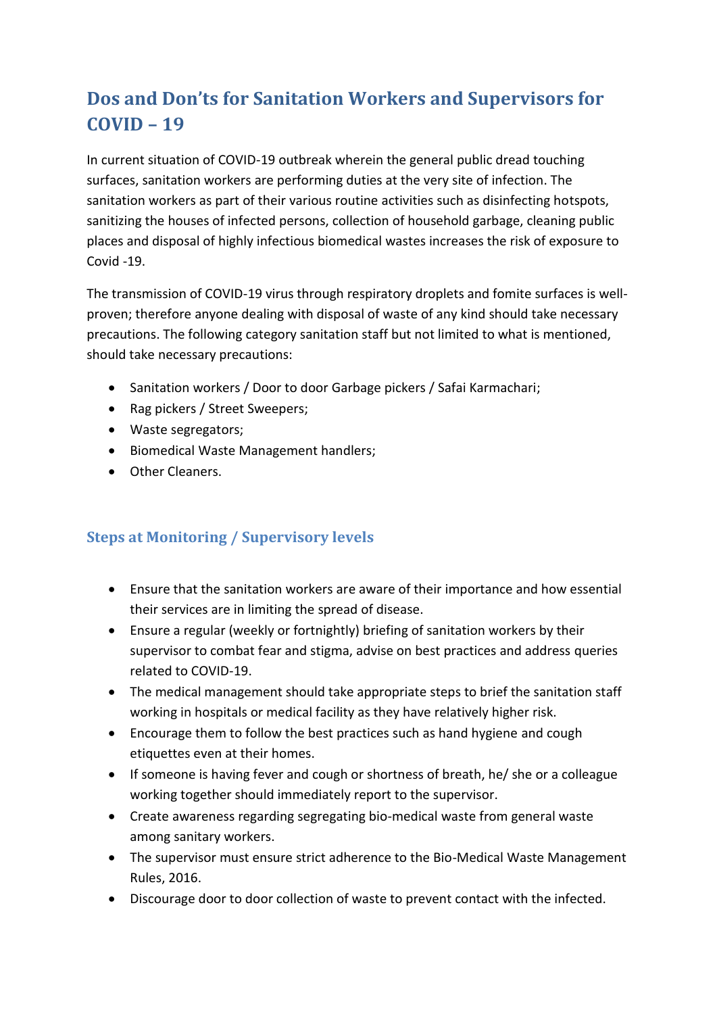## **Dos and Don'ts for Sanitation Workers and Supervisors for COVID – 19**

In current situation of COVID-19 outbreak wherein the general public dread touching surfaces, sanitation workers are performing duties at the very site of infection. The sanitation workers as part of their various routine activities such as disinfecting hotspots, sanitizing the houses of infected persons, collection of household garbage, cleaning public places and disposal of highly infectious biomedical wastes increases the risk of exposure to Covid -19.

The transmission of COVID-19 virus through respiratory droplets and fomite surfaces is wellproven; therefore anyone dealing with disposal of waste of any kind should take necessary precautions. The following category sanitation staff but not limited to what is mentioned, should take necessary precautions:

- Sanitation workers / Door to door Garbage pickers / Safai Karmachari;
- Rag pickers / Street Sweepers;
- Waste segregators;
- Biomedical Waste Management handlers;
- Other Cleaners.

## **Steps at Monitoring / Supervisory levels**

- Ensure that the sanitation workers are aware of their importance and how essential their services are in limiting the spread of disease.
- Ensure a regular (weekly or fortnightly) briefing of sanitation workers by their supervisor to combat fear and stigma, advise on best practices and address queries related to COVID-19.
- The medical management should take appropriate steps to brief the sanitation staff working in hospitals or medical facility as they have relatively higher risk.
- Encourage them to follow the best practices such as hand hygiene and cough etiquettes even at their homes.
- If someone is having fever and cough or shortness of breath, he/ she or a colleague working together should immediately report to the supervisor.
- Create awareness regarding segregating bio-medical waste from general waste among sanitary workers.
- The supervisor must ensure strict adherence to the Bio-Medical Waste Management Rules, 2016.
- Discourage door to door collection of waste to prevent contact with the infected.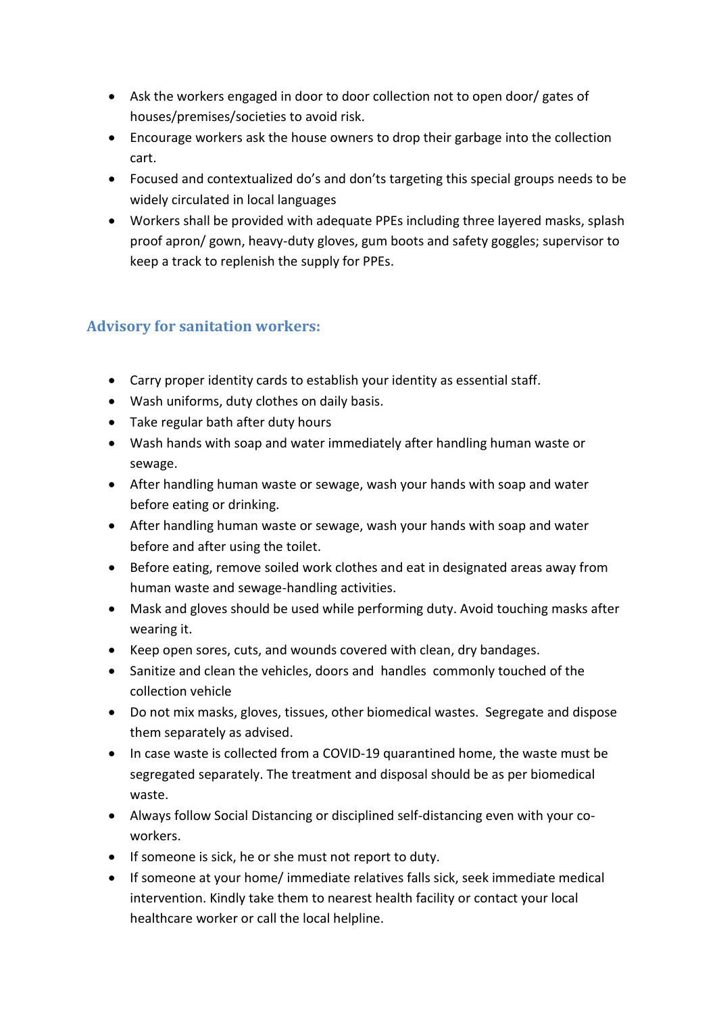- Ask the workers engaged in door to door collection not to open door/ gates of houses/premises/societies to avoid risk.
- Encourage workers ask the house owners to drop their garbage into the collection cart.
- Focused and contextualized do's and don'ts targeting this special groups needs to be widely circulated in local languages
- Workers shall be provided with adequate PPEs including three layered masks, splash proof apron/ gown, heavy-duty gloves, gum boots and safety goggles; supervisor to keep a track to replenish the supply for PPEs.

## **Advisory for sanitation workers:**

- Carry proper identity cards to establish your identity as essential staff.
- Wash uniforms, duty clothes on daily basis.
- Take regular bath after duty hours
- Wash hands with soap and water immediately after handling human waste or sewage.
- After handling human waste or sewage, wash your hands with soap and water before eating or drinking.
- After handling human waste or sewage, wash your hands with soap and water before and after using the toilet.
- Before eating, remove soiled work clothes and eat in designated areas away from human waste and sewage-handling activities.
- Mask and gloves should be used while performing duty. Avoid touching masks after wearing it.
- Keep open sores, cuts, and wounds covered with clean, dry bandages.
- Sanitize and clean the vehicles, doors and handles commonly touched of the collection vehicle
- Do not mix masks, gloves, tissues, other biomedical wastes. Segregate and dispose them separately as advised.
- In case waste is collected from a COVID-19 quarantined home, the waste must be segregated separately. The treatment and disposal should be as per biomedical waste.
- Always follow Social Distancing or disciplined self-distancing even with your coworkers.
- If someone is sick, he or she must not report to duty.
- If someone at your home/ immediate relatives falls sick, seek immediate medical intervention. Kindly take them to nearest health facility or contact your local healthcare worker or call the local helpline.